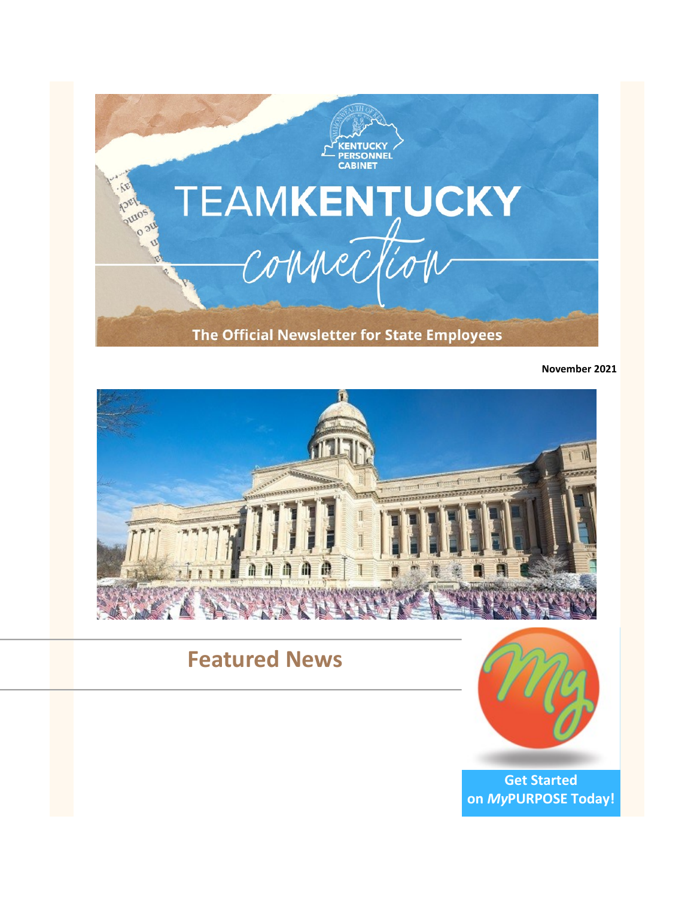

**November 2021**



## **Featured News**



**[Get Started](https://mypurpose.ky.gov/)  on** *My***[PURPOSE Today!](https://mypurpose.ky.gov/)**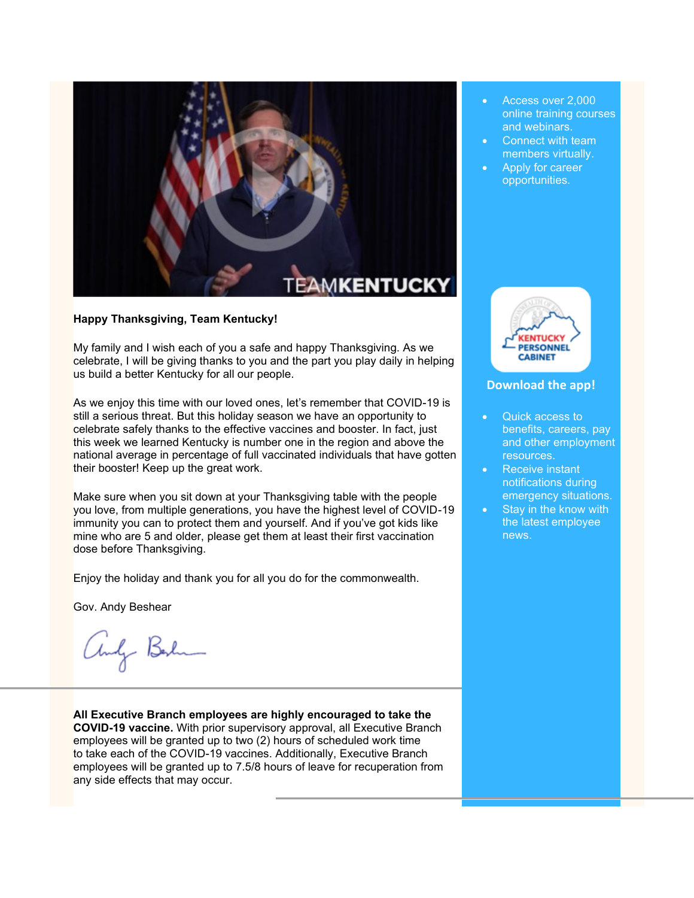

### **Happy Thanksgiving, Team Kentucky!**

My family and I wish each of you a safe and happy Thanksgiving. As we celebrate, I will be giving thanks to you and the part you play daily in helping us build a better Kentucky for all our people.

As we enjoy this time with our loved ones, let's remember that COVID-19 is still a serious threat. But this holiday season we have an opportunity to celebrate safely thanks to the effective vaccines and booster. In fact, just this week we learned Kentucky is number one in the region and above the national average in percentage of full vaccinated individuals that have gotten their booster! Keep up the great work.

Make sure when you sit down at your Thanksgiving table with the people you love, from multiple generations, you have the highest level of COVID-19 immunity you can to protect them and yourself. And if you've got kids like mine who are 5 and older, please get them at least their first vaccination dose before Thanksgiving.

Enjoy the holiday and thank you for all you do for the commonwealth.

Gov. Andy Beshear

andy Berlin

**All Executive Branch employees are highly encouraged to take the COVID-19 vaccine.** With prior supervisory approval, all Executive Branch employees will be granted up to two (2) hours of scheduled work time to take each of the COVID-19 vaccines. Additionally, Executive Branch employees will be granted up to 7.5/8 hours of leave for recuperation from any side effects that may occur.

- Access over 2,000 online training courses and webinars.
- Connect with team members virtually.
- Apply for career opportunities.



#### **[Download the app!](https://youtu.be/HJ3xwpwmDf4)**

- Quick access to benefits, careers, pay and other employment resources.
- Receive instant notifications during emergency situations.
- Stay in the know with the latest employee news.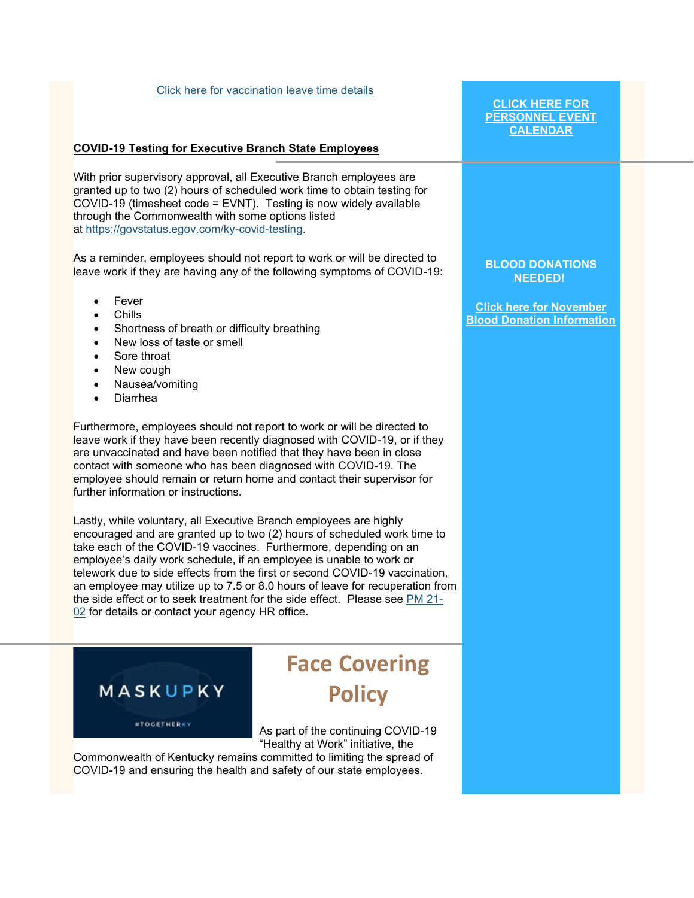#### [Click here for vaccination leave time details](https://personnel.ky.gov/Personnel%20Memos/2021-02.pdf)

### **COVID-19 Testing for Executive Branch State Employees**

With prior supervisory approval, all Executive Branch employees are granted up to two (2) hours of scheduled work time to obtain testing for COVID-19 (timesheet code = EVNT). Testing is now widely available through the Commonwealth with some options listed at [https://govstatus.egov.com/ky-covid-testing.](https://govstatus.egov.com/ky-covid-testing)

As a reminder, employees should not report to work or will be directed to leave work if they are having any of the following symptoms of COVID-19:

- **Fever**
- Chills
- Shortness of breath or difficulty breathing
- New loss of taste or smell
- Sore throat
- New cough
- Nausea/vomiting
- Diarrhea

Furthermore, employees should not report to work or will be directed to leave work if they have been recently diagnosed with COVID-19, or if they are unvaccinated and have been notified that they have been in close contact with someone who has been diagnosed with COVID-19. The employee should remain or return home and contact their supervisor for further information or instructions.

Lastly, while voluntary, all Executive Branch employees are highly encouraged and are granted up to two (2) hours of scheduled work time to take each of the COVID-19 vaccines. Furthermore, depending on an employee's daily work schedule, if an employee is unable to work or telework due to side effects from the first or second COVID-19 vaccination, an employee may utilize up to 7.5 or 8.0 hours of leave for recuperation from the side effect or to seek treatment for the side effect. Please see [PM 21-](https://personnel.ky.gov/Personnel%20Memos/2021-02.pdf) [02](https://personnel.ky.gov/Personnel%20Memos/2021-02.pdf) for details or contact your agency HR office.



*STOGETHERKY* 

## **Face Covering Policy**

As part of the continuing COVID-19 "Healthy at Work" initiative, the

Commonwealth of Kentucky remains committed to limiting the spread of COVID-19 and ensuring the health and safety of our state employees.

### **[CLICK HERE FOR](https://personnel.ky.gov/Pages/employeeevents.aspx)  [PERSONNEL EVENT](https://personnel.ky.gov/Pages/employeeevents.aspx)  [CALENDAR](https://personnel.ky.gov/Pages/employeeevents.aspx)**

**BLOOD DONATIONS NEEDED!**

**[Click here for November](https://personnel.ky.gov/Pages/Blood-Donation-Calendar-.aspx)  [Blood Donation Information](https://personnel.ky.gov/Pages/Blood-Donation-Calendar-.aspx)**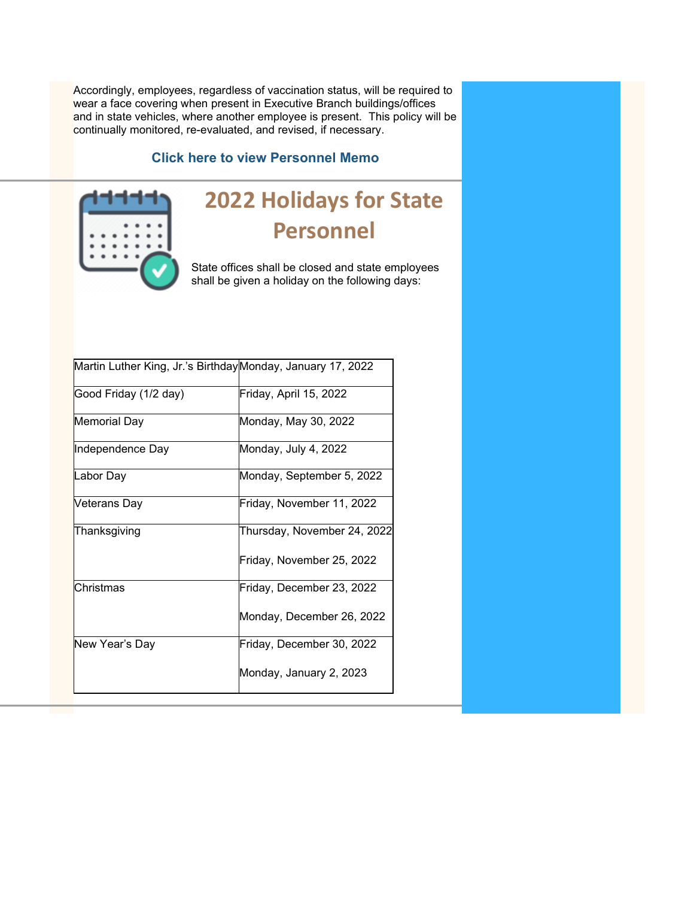Accordingly, employees, regardless of vaccination status, will be required to wear a face covering when present in Executive Branch buildings/offices and in state vehicles, where another employee is present. This policy will be continually monitored, re-evaluated, and revised, if necessary.

### **[Click here to view Personnel Memo](https://personnel.ky.gov/Personnel%20Memos/2021-11.pdf)**



## **2022 Holidays for State Personnel**

State offices shall be closed and state employees shall be given a holiday on the following days:

| Martin Luther King, Jr.'s BirthdayMonday, January 17, 2022 |                             |
|------------------------------------------------------------|-----------------------------|
| Good Friday (1/2 day)                                      | Friday, April 15, 2022      |
| <b>Memorial Day</b>                                        | Monday, May 30, 2022        |
| Independence Day                                           | Monday, July 4, 2022        |
| Labor Day                                                  | Monday, September 5, 2022   |
| Veterans Day                                               | Friday, November 11, 2022   |
| Thanksgiving                                               | Thursday, November 24, 2022 |
|                                                            | Friday, November 25, 2022   |
| Christmas                                                  | Friday, December 23, 2022   |
|                                                            | Monday, December 26, 2022   |
| New Year's Day                                             | Friday, December 30, 2022   |
|                                                            | Monday, January 2, 2023     |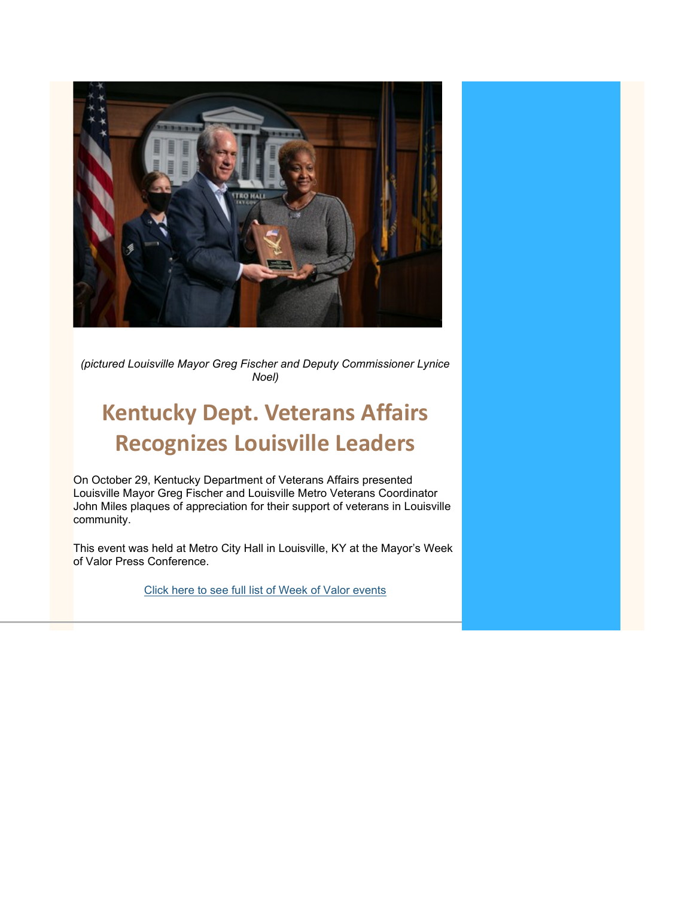

*(pictured Louisville Mayor Greg Fischer and Deputy Commissioner Lynice Noel)*

## **Kentucky Dept. Veterans Affairs Recognizes Louisville Leaders**

On October 29, Kentucky Department of Veterans Affairs presented Louisville Mayor Greg Fischer and Louisville Metro Veterans Coordinator John Miles plaques of appreciation for their support of veterans in Louisville community.

This event was held at Metro City Hall in Louisville, KY at the Mayor's Week of Valor Press Conference.

[Click here to see full list of Week of Valor events](https://louisvilleky.gov/resilience-and-community-services/document/2021mayorsweekofvalorfinalv2pdf)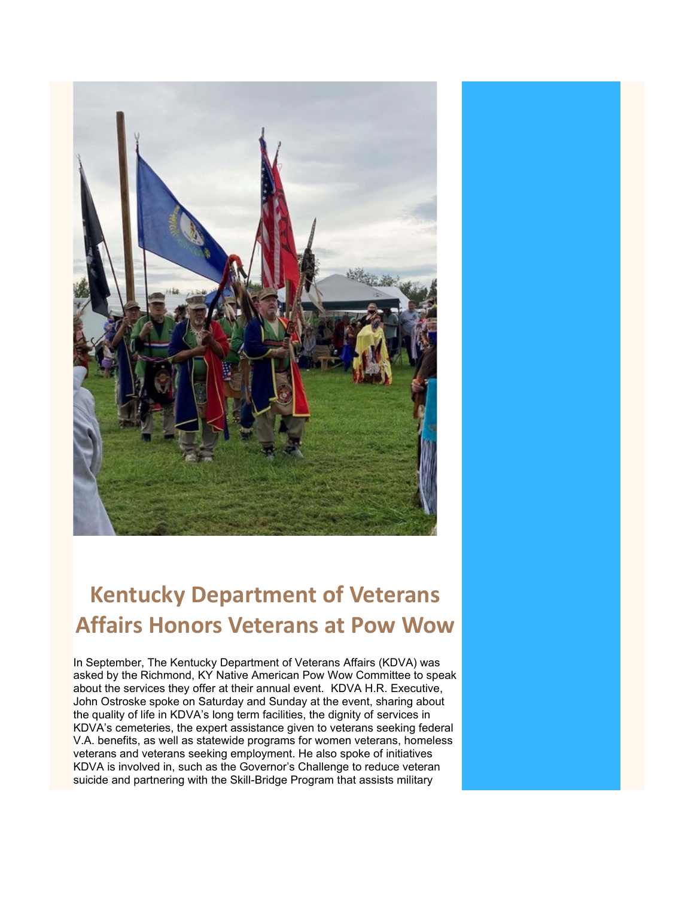

# **Kentucky Department of Veterans Affairs Honors Veterans at Pow Wow**

In September, The Kentucky Department of Veterans Affairs (KDVA) was asked by the Richmond, KY Native American Pow Wow Committee to speak about the services they offer at their annual event. KDVA H.R. Executive, John Ostroske spoke on Saturday and Sunday at the event, sharing about the quality of life in KDVA's long term facilities, the dignity of services in KDVA's cemeteries, the expert assistance given to veterans seeking federal V.A. benefits, as well as statewide programs for women veterans, homeless veterans and veterans seeking employment. He also spoke of initiatives KDVA is involved in, such as the Governor's Challenge to reduce veteran suicide and partnering with the Skill-Bridge Program that assists military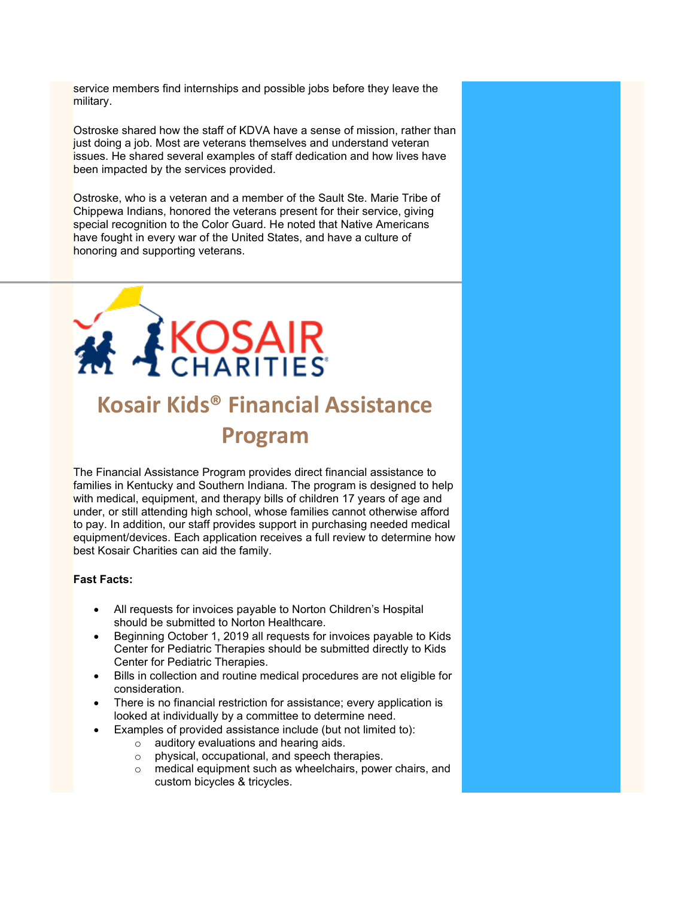service members find internships and possible jobs before they leave the military.

Ostroske shared how the staff of KDVA have a sense of mission, rather than just doing a job. Most are veterans themselves and understand veteran issues. He shared several examples of staff dedication and how lives have been impacted by the services provided.

Ostroske, who is a veteran and a member of the Sault Ste. Marie Tribe of Chippewa Indians, honored the veterans present for their service, giving special recognition to the Color Guard. He noted that Native Americans have fought in every war of the United States, and have a culture of honoring and supporting veterans.



# **Kosair Kids® Financial Assistance Program**

The Financial Assistance Program provides direct financial assistance to families in Kentucky and Southern Indiana. The program is designed to help with medical, equipment, and therapy bills of children 17 years of age and under, or still attending high school, whose families cannot otherwise afford to pay. In addition, our staff provides support in purchasing needed medical equipment/devices. Each application receives a full review to determine how best Kosair Charities can aid the family.

### **Fast Facts:**

- All requests for invoices payable to Norton Children's Hospital should be submitted to Norton Healthcare.
- Beginning October 1, 2019 all requests for invoices payable to Kids Center for Pediatric Therapies should be submitted directly to Kids Center for Pediatric Therapies.
- Bills in collection and routine medical procedures are not eligible for consideration.
- There is no financial restriction for assistance; every application is looked at individually by a committee to determine need.
	- Examples of provided assistance include (but not limited to):
		- o auditory evaluations and hearing aids.
		- o physical, occupational, and speech therapies.
		- o medical equipment such as wheelchairs, power chairs, and custom bicycles & tricycles.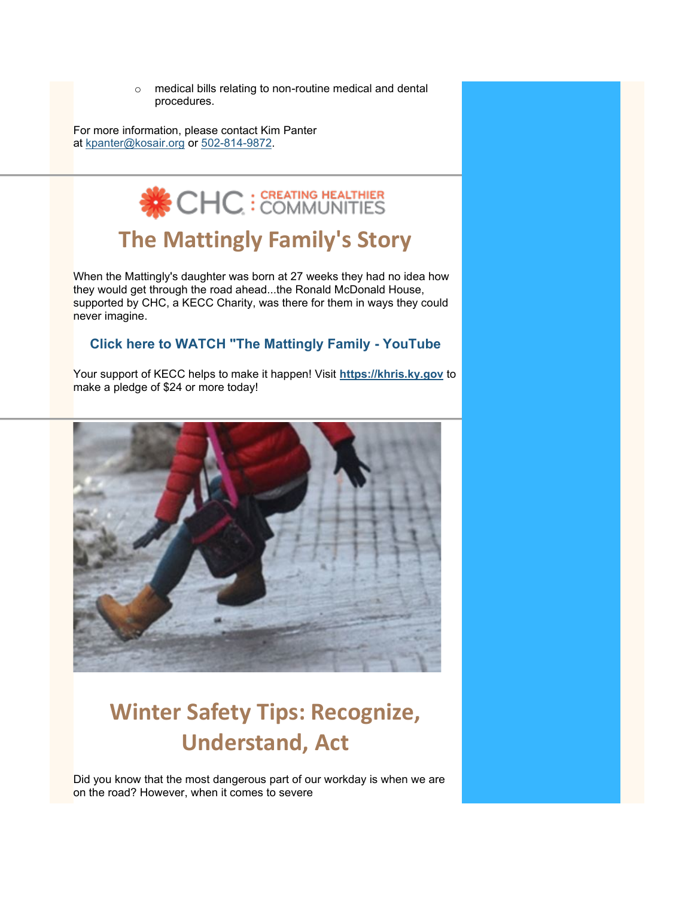o medical bills relating to non-routine medical and dental procedures.

For more information, please contact Kim Panter at [kpanter@kosair.org](mailto:kpanter@kosair.org) or [502-814-9872.](tel:5028149872)



## **The Mattingly Family's Story**

When the Mattingly's daughter was born at 27 weeks they had no idea how they would get through the road ahead...the Ronald McDonald House, supported by CHC, a KECC Charity, was there for them in ways they could never imagine.

### **[Click here to WATCH "The Mattingly Family -](https://www.youtube.com/watch?v=n_Md9B75lfY) YouTube**

Your support of KECC helps to make it happen! Visit **[https://khris.ky.gov](https://urldefense.com/v3/__https:/r20.rs6.net/tn.jsp?f=001afSDdwzPHD5GYBNKQigyESg4TVaLD1DTY8JxOs16Iu2MnpSifo-QwpUiynkQzSpDjiYJnjyZfZNKDfmtz9C3qDOx5xOTnIWl5b6DiyuRIVqXWuHFz9-tBBhn0Ov5MZyCeCGwMRhl9U4=&c=8ZL3e4A6aJywNZGWZqrRSgqRFcPOt5rw8r_y8uPMnNLKSMQ9J-jnHQ==&ch=JYh1ZVHfgIc5oR_iY68YCfNGVXch72XuSbOwrxfBJ38AUxc6BN7JVA==__;!!Db6frn15oIvDD3UI!zoYWKlQhENNJXxzFQ8tdwDIGAYzCZ96Yqm3DL-n85GsIis_-C9Q-ldxghv6TDtb5%24)** to make a pledge of \$24 or more today!



# **Winter Safety Tips: Recognize, Understand, Act**

Did you know that the most dangerous part of our workday is when we are on the road? However, when it comes to severe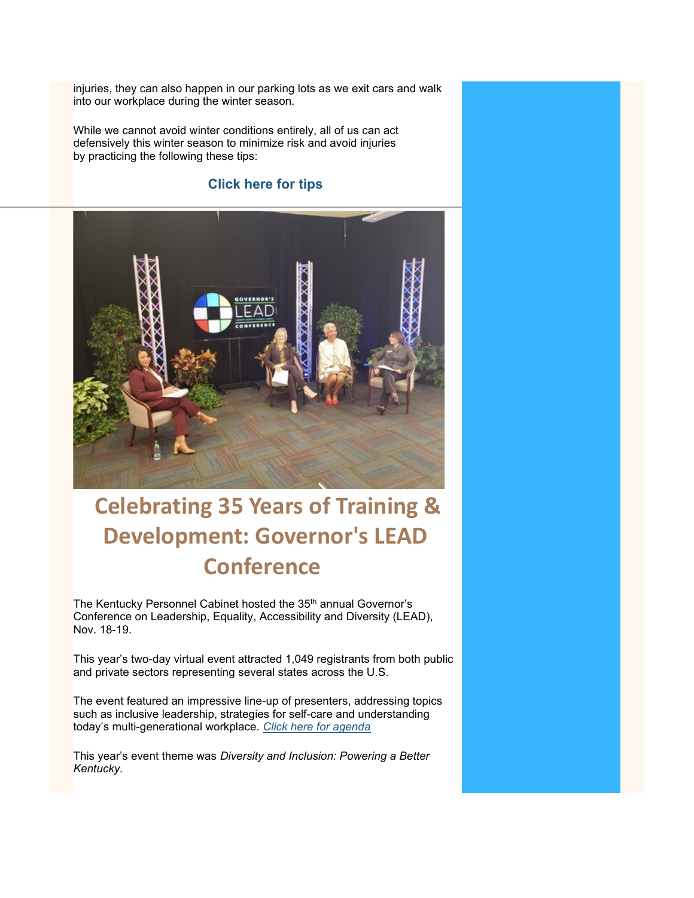injuries, they can also happen in our parking lots as we exit cars and walk into our workplace during the winter season.

While we cannot avoid winter conditions entirely, all of us can act defensively this winter season to minimize risk and avoid injuries by practicing the following these tips:

### **[Click here for tips](https://www.nsc.org/getmedia/b41eef65-3ee6-4ad8-bcb6-4b304c0c6750/winter-defensive-walker.pdf.aspx)**



## **Celebrating 35 Years of Training & Development: Governor's LEAD Conference**

The Kentucky Personnel Cabinet hosted the 35<sup>th</sup> annual Governor's Conference on Leadership, Equality, Accessibility and Diversity (LEAD), Nov. 18-19.

This year's two-day virtual event attracted 1,049 registrants from both public and private sectors representing several states across the U.S.

The event featured an impressive line-up of presenters, addressing topics such as inclusive leadership, strategies for self-care and understanding today's multi-generational workplace. *[Click here for agenda](https://kylead.ky.gov/Content/Documents/LEADFullAgenda.pdf)*

This year's event theme was *Diversity and Inclusion: Powering a Better Kentucky.*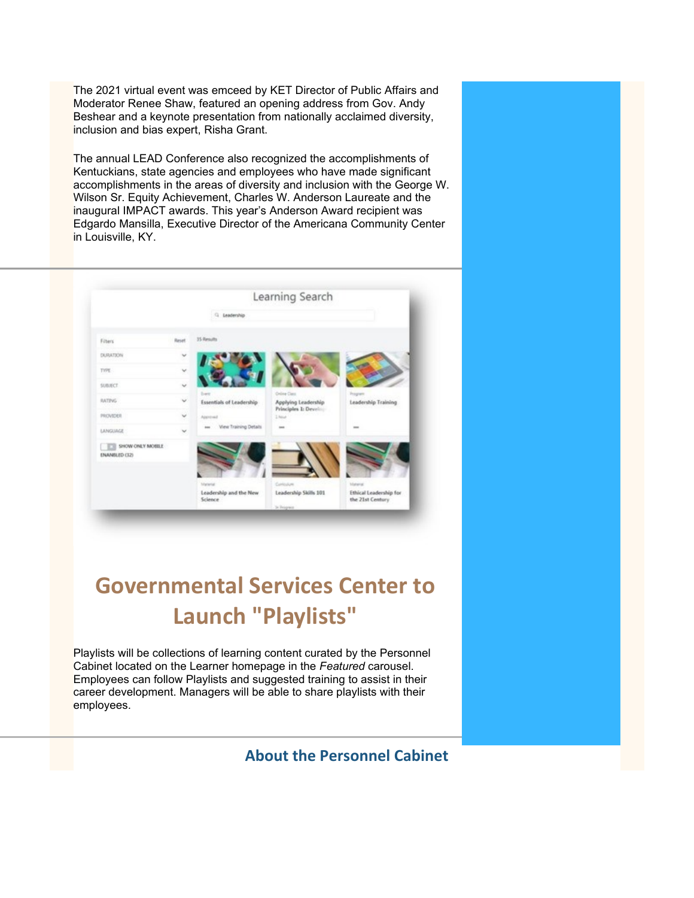The 2021 virtual event was emceed by KET Director of Public Affairs and Moderator Renee Shaw, featured an opening address from Gov. Andy Beshear and a keynote presentation from nationally acclaimed diversity, inclusion and bias expert, Risha Grant.

The annual LEAD Conference also recognized the accomplishments of Kentuckians, state agencies and employees who have made significant accomplishments in the areas of diversity and inclusion with the George W. Wilson Sr. Equity Achievement, Charles W. Anderson Laureate and the inaugural IMPACT awards. This year's Anderson Award recipient was Edgardo Mansilla, Executive Director of the Americana Community Center in Louisville, KY.



## **Governmental Services Center to Launch "Playlists"**

Playlists will be collections of learning content curated by the Personnel Cabinet located on the Learner homepage in the *Featured* carousel. Employees can follow Playlists and suggested training to assist in their career development. Managers will be able to share playlists with their employees.

**[About the Personnel Cabinet](https://personnel.ky.gov/pages/about-cabinet.aspx)**